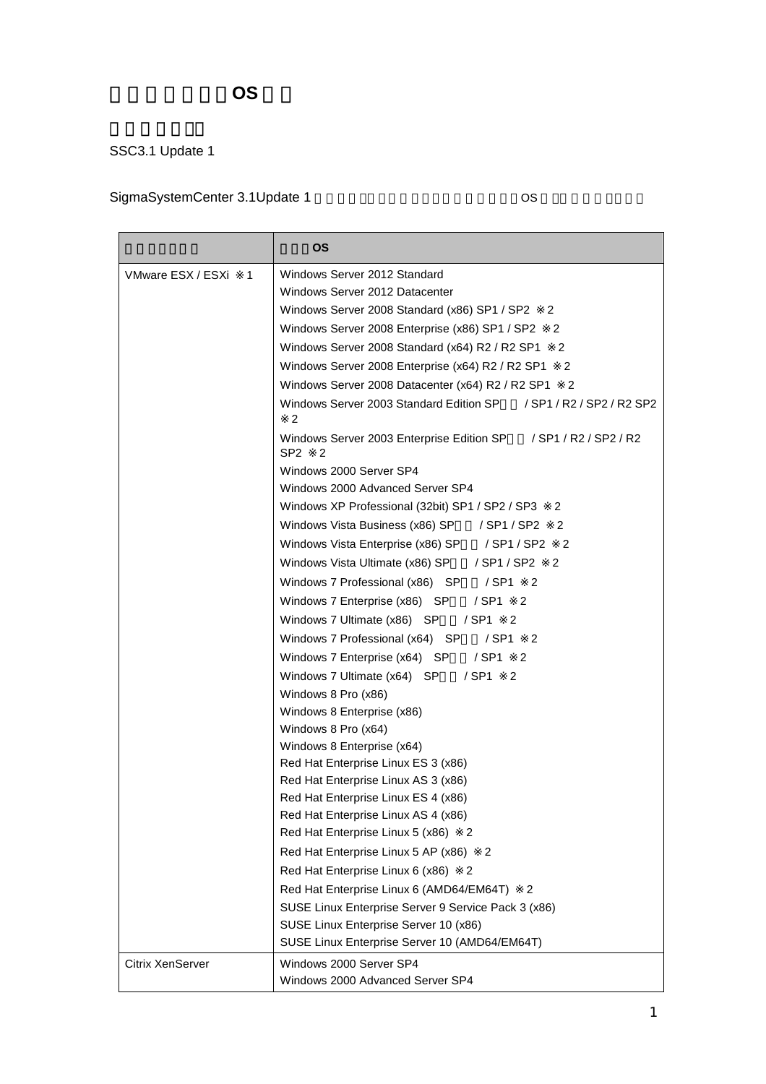## 管理対象ゲスト **OS** 一覧

## SSC3.1 Update 1

## SigmaSystemCenter 3.1Update 1 6 to 1 and 5 os

|                         | ΟS                                                                          |  |  |  |
|-------------------------|-----------------------------------------------------------------------------|--|--|--|
| VMware ESX / ESXi<br>1  | Windows Server 2012 Standard                                                |  |  |  |
|                         | Windows Server 2012 Datacenter                                              |  |  |  |
|                         | Windows Server 2008 Standard (x86) SP1 / SP2<br>2                           |  |  |  |
|                         | 2<br>Windows Server 2008 Enterprise (x86) SP1 / SP2                         |  |  |  |
|                         | 2<br>Windows Server 2008 Standard (x64) R2 / R2 SP1                         |  |  |  |
|                         | 2<br>Windows Server 2008 Enterprise (x64) R2 / R2 SP1                       |  |  |  |
|                         | Windows Server 2008 Datacenter (x64) R2 / R2 SP1<br>2                       |  |  |  |
|                         | Windows Server 2003 Standard Edition SP<br>/ SP1 / R2 / SP2 / R2 SP2<br>2   |  |  |  |
|                         | Windows Server 2003 Enterprise Edition SP / SP1 / R2 / SP2 / R2<br>SP2<br>2 |  |  |  |
|                         | Windows 2000 Server SP4                                                     |  |  |  |
|                         | Windows 2000 Advanced Server SP4                                            |  |  |  |
|                         | Windows XP Professional (32bit) SP1 / SP2 / SP3<br>2                        |  |  |  |
|                         | 2<br>Windows Vista Business (x86) SP / SP1 / SP2                            |  |  |  |
|                         | Windows Vista Enterprise (x86) SP<br>/ SP1 / SP2<br>2                       |  |  |  |
|                         | Windows Vista Ultimate (x86) SP<br>/ SP1 / SP2<br>2                         |  |  |  |
|                         | Windows 7 Professional (x86) SP<br>$/$ SP1 2                                |  |  |  |
|                         | Windows 7 Enterprise (x86) SP<br>/ SP1<br>$\overline{\phantom{0}}^2$        |  |  |  |
|                         | Windows 7 Ultimate (x86) SP<br>/ SP1<br>2                                   |  |  |  |
|                         | Windows 7 Professional (x64) SP<br>/ SP1<br>$\overline{\phantom{0}}^2$      |  |  |  |
|                         | / SP1<br>2<br>Windows 7 Enterprise (x64) SP                                 |  |  |  |
|                         | / SP1<br>Windows 7 Ultimate (x64) SP<br>-2                                  |  |  |  |
|                         | Windows 8 Pro (x86)                                                         |  |  |  |
|                         | Windows 8 Enterprise (x86)                                                  |  |  |  |
|                         | Windows 8 Pro (x64)                                                         |  |  |  |
|                         | Windows 8 Enterprise (x64)                                                  |  |  |  |
|                         | Red Hat Enterprise Linux ES 3 (x86)                                         |  |  |  |
|                         | Red Hat Enterprise Linux AS 3 (x86)                                         |  |  |  |
|                         | Red Hat Enterprise Linux ES 4 (x86)                                         |  |  |  |
|                         | Red Hat Enterprise Linux AS 4 (x86)                                         |  |  |  |
|                         | Red Hat Enterprise Linux 5 (x86)<br>2                                       |  |  |  |
|                         | Red Hat Enterprise Linux 5 AP (x86)<br>2                                    |  |  |  |
|                         | Red Hat Enterprise Linux 6 (x86)<br>2                                       |  |  |  |
|                         | Red Hat Enterprise Linux 6 (AMD64/EM64T)<br>2                               |  |  |  |
|                         | SUSE Linux Enterprise Server 9 Service Pack 3 (x86)                         |  |  |  |
|                         | SUSE Linux Enterprise Server 10 (x86)                                       |  |  |  |
|                         | SUSE Linux Enterprise Server 10 (AMD64/EM64T)                               |  |  |  |
| <b>Citrix XenServer</b> | Windows 2000 Server SP4                                                     |  |  |  |
|                         | Windows 2000 Advanced Server SP4                                            |  |  |  |